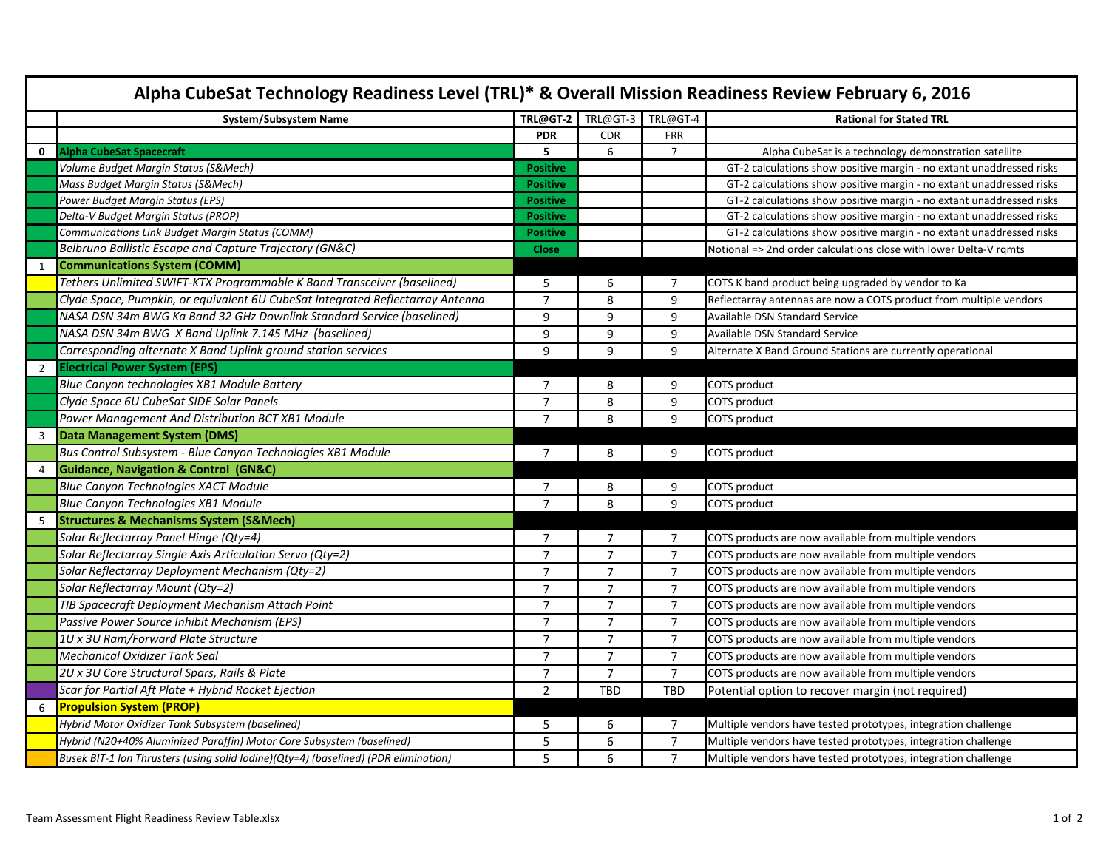| System/Subsystem Name                                                               | TRL@GT-2        | TRL@GT-3       | TRL@GT-4       | <b>Rational for Stated TRL</b>                                       |
|-------------------------------------------------------------------------------------|-----------------|----------------|----------------|----------------------------------------------------------------------|
|                                                                                     | <b>PDR</b>      | <b>CDR</b>     | <b>FRR</b>     |                                                                      |
| <b>Alpha CubeSat Spacecraft</b><br>$\mathbf 0$                                      | 5               | 6              | $\overline{7}$ | Alpha CubeSat is a technology demonstration satellite                |
| Volume Budget Margin Status (S&Mech)                                                | <b>Positive</b> |                |                | GT-2 calculations show positive margin - no extant unaddressed risks |
| Mass Budget Margin Status (S&Mech)                                                  | <b>Positive</b> |                |                | GT-2 calculations show positive margin - no extant unaddressed risks |
| Power Budget Margin Status (EPS)                                                    | <b>Positive</b> |                |                | GT-2 calculations show positive margin - no extant unaddressed risks |
| Delta-V Budget Margin Status (PROP)                                                 | <b>Positive</b> |                |                | GT-2 calculations show positive margin - no extant unaddressed risks |
| Communications Link Budget Margin Status (COMM)                                     | <b>Positive</b> |                |                | GT-2 calculations show positive margin - no extant unaddressed risks |
| Belbruno Ballistic Escape and Capture Trajectory (GN&C)                             | <b>Close</b>    |                |                | Notional => 2nd order calculations close with lower Delta-V rgmts    |
| <b>Communications System (COMM)</b><br>1                                            |                 |                |                |                                                                      |
| Tethers Unlimited SWIFT-KTX Programmable K Band Transceiver (baselined)             | 5               | 6              | $\overline{7}$ | COTS K band product being upgraded by vendor to Ka                   |
| Clyde Space, Pumpkin, or equivalent 6U CubeSat Integrated Reflectarray Antenna      | $\overline{7}$  | 8              | 9              | Reflectarray antennas are now a COTS product from multiple vendors   |
| NASA DSN 34m BWG Ka Band 32 GHz Downlink Standard Service (baselined)               | 9               | 9              | 9              | Available DSN Standard Service                                       |
| NASA DSN 34m BWG X Band Uplink 7.145 MHz (baselined)                                | 9               | 9              | 9              | <b>Available DSN Standard Service</b>                                |
| Corresponding alternate X Band Uplink ground station services                       | 9               | 9              | 9              | Alternate X Band Ground Stations are currently operational           |
| <b>Electrical Power System (EPS)</b><br>2                                           |                 |                |                |                                                                      |
| Blue Canyon technologies XB1 Module Battery                                         | $\overline{7}$  | 8              | 9              | COTS product                                                         |
| Clyde Space 6U CubeSat SIDE Solar Panels                                            | $\overline{7}$  | 8              | 9              | <b>COTS</b> product                                                  |
| Power Management And Distribution BCT XB1 Module                                    | $\overline{7}$  | 8              | 9              | COTS product                                                         |
| Data Management System (DMS)<br>3                                                   |                 |                |                |                                                                      |
| Bus Control Subsystem - Blue Canyon Technologies XB1 Module                         | 7               | 8              | 9              | COTS product                                                         |
| <b>Guidance, Navigation &amp; Control (GN&amp;C)</b><br>4                           |                 |                |                |                                                                      |
| <b>Blue Canyon Technologies XACT Module</b>                                         | 7               | 8              | 9              | COTS product                                                         |
| <b>Blue Canyon Technologies XB1 Module</b>                                          | $\overline{7}$  | 8              | 9              | COTS product                                                         |
| <b>Structures &amp; Mechanisms System (S&amp;Mech)</b><br>5                         |                 |                |                |                                                                      |
| Solar Reflectarray Panel Hinge (Qty=4)                                              | $\overline{7}$  | $\overline{7}$ | $\overline{7}$ | COTS products are now available from multiple vendors                |
| Solar Reflectarray Single Axis Articulation Servo (Qty=2)                           | $\overline{7}$  | $\overline{7}$ | $\overline{7}$ | COTS products are now available from multiple vendors                |
| Solar Reflectarray Deployment Mechanism (Qty=2)                                     | $\overline{7}$  | $\overline{7}$ | $\overline{7}$ | COTS products are now available from multiple vendors                |
| Solar Reflectarray Mount (Qty=2)                                                    | $\overline{7}$  | $\overline{7}$ | $\overline{7}$ | COTS products are now available from multiple vendors                |
| TIB Spacecraft Deployment Mechanism Attach Point                                    | $\overline{7}$  | $\overline{7}$ | $\overline{7}$ | COTS products are now available from multiple vendors                |
| Passive Power Source Inhibit Mechanism (EPS)                                        | $\overline{7}$  | $\overline{7}$ | $\overline{7}$ | COTS products are now available from multiple vendors                |
| 1U x 3U Ram/Forward Plate Structure                                                 | $\overline{7}$  | $\overline{7}$ | $\overline{7}$ | COTS products are now available from multiple vendors                |
| <b>Mechanical Oxidizer Tank Seal</b>                                                | $\overline{7}$  | $\overline{7}$ | $\overline{7}$ | COTS products are now available from multiple vendors                |
| 2U x 3U Core Structural Spars, Rails & Plate                                        | $\overline{7}$  | $\overline{7}$ | $\overline{7}$ | COTS products are now available from multiple vendors                |
| Scar for Partial Aft Plate + Hybrid Rocket Ejection                                 | $\overline{2}$  | TBD            | TBD            | Potential option to recover margin (not required)                    |
| <b>Propulsion System (PROP)</b><br>6                                                |                 |                |                |                                                                      |
| Hybrid Motor Oxidizer Tank Subsystem (baselined)                                    | 5               | 6              | $\overline{7}$ | Multiple vendors have tested prototypes, integration challenge       |
| Hybrid (N20+40% Aluminized Paraffin) Motor Core Subsystem (baselined)               | 5               | 6              | $\overline{7}$ | Multiple vendors have tested prototypes, integration challenge       |
| Busek BIT-1 Ion Thrusters (using solid Iodine)(Qty=4) (baselined) (PDR elimination) | 5               | 6              | $\overline{7}$ | Multiple vendors have tested prototypes, integration challenge       |

┓